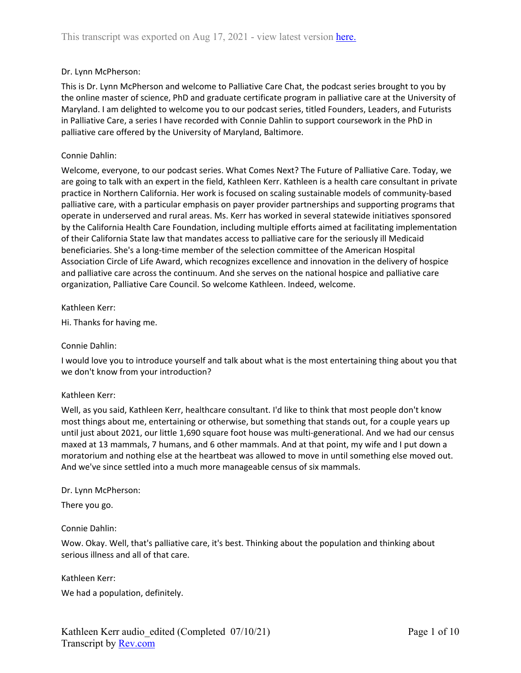## Dr. Lynn McPherson:

This is Dr. Lynn McPherson and welcome to Palliative Care Chat, the podcast series brought to you by the online master of science, PhD and graduate certificate program in palliative care at the University of Maryland. I am delighted to welcome you to our podcast series, titled Founders, Leaders, and Futurists in Palliative Care, a series I have recorded with Connie Dahlin to support coursework in the PhD in palliative care offered by the University of Maryland, Baltimore.

### Connie Dahlin:

Welcome, everyone, to our podcast series. What Comes Next? The Future of Palliative Care. Today, we are going to talk with an expert in the field, Kathleen Kerr. Kathleen is a health care consultant in private practice in Northern California. Her work is focused on scaling sustainable models of community-based palliative care, with a particular emphasis on payer provider partnerships and supporting programs that operate in underserved and rural areas. Ms. Kerr has worked in several statewide initiatives sponsored by the California Health Care Foundation, including multiple efforts aimed at facilitating implementation of their California State law that mandates access to palliative care for the seriously ill Medicaid beneficiaries. She's a long-time member of the selection committee of the American Hospital Association Circle of Life Award, which recognizes excellence and innovation in the delivery of hospice and palliative care across the continuum. And she serves on the national hospice and palliative care organization, Palliative Care Council. So welcome Kathleen. Indeed, welcome.

### Kathleen Kerr:

Hi. Thanks for having me.

### Connie Dahlin:

I would love you to introduce yourself and talk about what is the most entertaining thing about you that we don't know from your introduction?

### Kathleen Kerr:

Well, as you said, Kathleen Kerr, healthcare consultant. I'd like to think that most people don't know most things about me, entertaining or otherwise, but something that stands out, for a couple years up until just about 2021, our little 1,690 square foot house was multi-generational. And we had our census maxed at 13 mammals, 7 humans, and 6 other mammals. And at that point, my wife and I put down a moratorium and nothing else at the heartbeat was allowed to move in until something else moved out. And we've since settled into a much more manageable census of six mammals.

### Dr. Lynn McPherson:

There you go.

### Connie Dahlin:

Wow. Okay. Well, that's palliative care, it's best. Thinking about the population and thinking about serious illness and all of that care.

Kathleen Kerr:

We had a population, definitely.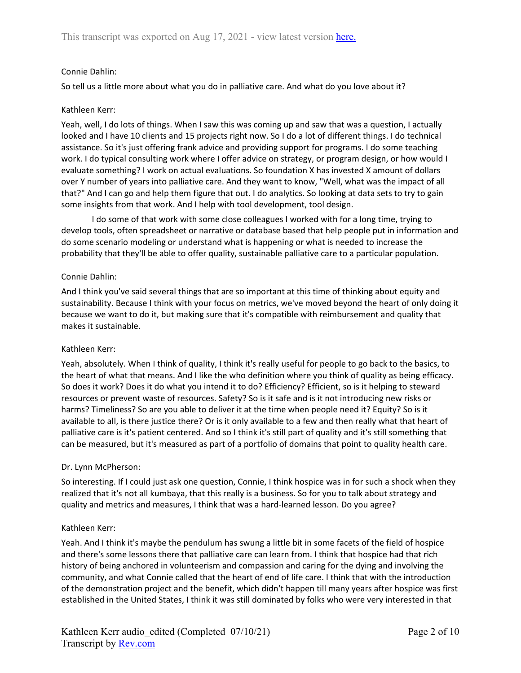## Connie Dahlin:

So tell us a little more about what you do in palliative care. And what do you love about it?

### Kathleen Kerr:

Yeah, well, I do lots of things. When I saw this was coming up and saw that was a question, I actually looked and I have 10 clients and 15 projects right now. So I do a lot of different things. I do technical assistance. So it's just offering frank advice and providing support for programs. I do some teaching work. I do typical consulting work where I offer advice on strategy, or program design, or how would I evaluate something? I work on actual evaluations. So foundation X has invested X amount of dollars over Y number of years into palliative care. And they want to know, "Well, what was the impact of all that?" And I can go and help them figure that out. I do analytics. So looking at data sets to try to gain some insights from that work. And I help with tool development, tool design.

I do some of that work with some close colleagues I worked with for a long time, trying to develop tools, often spreadsheet or narrative or database based that help people put in information and do some scenario modeling or understand what is happening or what is needed to increase the probability that they'll be able to offer quality, sustainable palliative care to a particular population.

### Connie Dahlin:

And I think you've said several things that are so important at this time of thinking about equity and sustainability. Because I think with your focus on metrics, we've moved beyond the heart of only doing it because we want to do it, but making sure that it's compatible with reimbursement and quality that makes it sustainable.

### Kathleen Kerr:

Yeah, absolutely. When I think of quality, I think it's really useful for people to go back to the basics, to the heart of what that means. And I like the who definition where you think of quality as being efficacy. So does it work? Does it do what you intend it to do? Efficiency? Efficient, so is it helping to steward resources or prevent waste of resources. Safety? So is it safe and is it not introducing new risks or harms? Timeliness? So are you able to deliver it at the time when people need it? Equity? So is it available to all, is there justice there? Or is it only available to a few and then really what that heart of palliative care is it's patient centered. And so I think it's still part of quality and it's still something that can be measured, but it's measured as part of a portfolio of domains that point to quality health care.

### Dr. Lynn McPherson:

So interesting. If I could just ask one question, Connie, I think hospice was in for such a shock when they realized that it's not all kumbaya, that this really is a business. So for you to talk about strategy and quality and metrics and measures, I think that was a hard-learned lesson. Do you agree?

### Kathleen Kerr:

Yeah. And I think it's maybe the pendulum has swung a little bit in some facets of the field of hospice and there's some lessons there that palliative care can learn from. I think that hospice had that rich history of being anchored in volunteerism and compassion and caring for the dying and involving the community, and what Connie called that the heart of end of life care. I think that with the introduction of the demonstration project and the benefit, which didn't happen till many years after hospice was first established in the United States, I think it was still dominated by folks who were very interested in that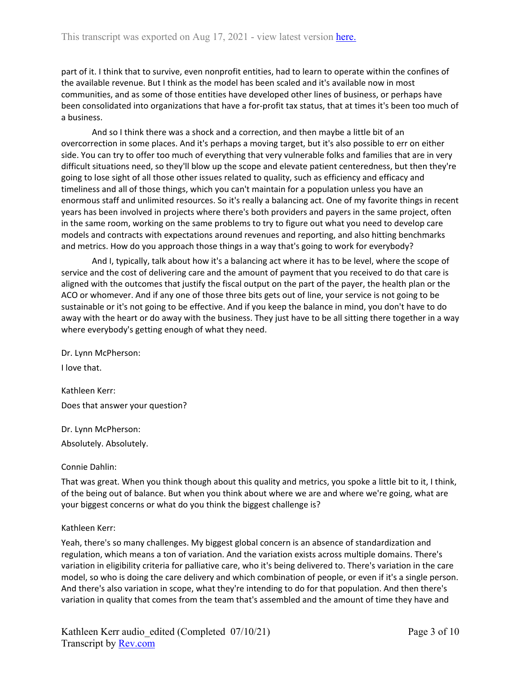part of it. I think that to survive, even nonprofit entities, had to learn to operate within the confines of the available revenue. But I think as the model has been scaled and it's available now in most communities, and as some of those entities have developed other lines of business, or perhaps have been consolidated into organizations that have a for-profit tax status, that at times it's been too much of a business.

And so I think there was a shock and a correction, and then maybe a little bit of an overcorrection in some places. And it's perhaps a moving target, but it's also possible to err on either side. You can try to offer too much of everything that very vulnerable folks and families that are in very difficult situations need, so they'll blow up the scope and elevate patient centeredness, but then they're going to lose sight of all those other issues related to quality, such as efficiency and efficacy and timeliness and all of those things, which you can't maintain for a population unless you have an enormous staff and unlimited resources. So it's really a balancing act. One of my favorite things in recent years has been involved in projects where there's both providers and payers in the same project, often in the same room, working on the same problems to try to figure out what you need to develop care models and contracts with expectations around revenues and reporting, and also hitting benchmarks and metrics. How do you approach those things in a way that's going to work for everybody?

And I, typically, talk about how it's a balancing act where it has to be level, where the scope of service and the cost of delivering care and the amount of payment that you received to do that care is aligned with the outcomes that justify the fiscal output on the part of the payer, the health plan or the ACO or whomever. And if any one of those three bits gets out of line, your service is not going to be sustainable or it's not going to be effective. And if you keep the balance in mind, you don't have to do away with the heart or do away with the business. They just have to be all sitting there together in a way where everybody's getting enough of what they need.

Dr. Lynn McPherson:

I love that.

Kathleen Kerr: Does that answer your question?

Dr. Lynn McPherson: Absolutely. Absolutely.

### Connie Dahlin:

That was great. When you think though about this quality and metrics, you spoke a little bit to it, I think, of the being out of balance. But when you think about where we are and where we're going, what are your biggest concerns or what do you think the biggest challenge is?

### Kathleen Kerr:

Yeah, there's so many challenges. My biggest global concern is an absence of standardization and regulation, which means a ton of variation. And the variation exists across multiple domains. There's variation in eligibility criteria for palliative care, who it's being delivered to. There's variation in the care model, so who is doing the care delivery and which combination of people, or even if it's a single person. And there's also variation in scope, what they're intending to do for that population. And then there's variation in quality that comes from the team that's assembled and the amount of time they have and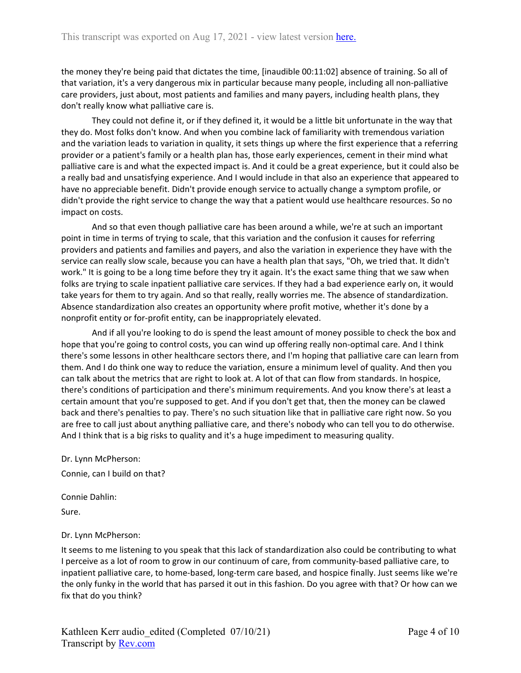the money they're being paid that dictates the time, [inaudible 00:11:02] absence of training. So all of that variation, it's a very dangerous mix in particular because many people, including all non-palliative care providers, just about, most patients and families and many payers, including health plans, they don't really know what palliative care is.

They could not define it, or if they defined it, it would be a little bit unfortunate in the way that they do. Most folks don't know. And when you combine lack of familiarity with tremendous variation and the variation leads to variation in quality, it sets things up where the first experience that a referring provider or a patient's family or a health plan has, those early experiences, cement in their mind what palliative care is and what the expected impact is. And it could be a great experience, but it could also be a really bad and unsatisfying experience. And I would include in that also an experience that appeared to have no appreciable benefit. Didn't provide enough service to actually change a symptom profile, or didn't provide the right service to change the way that a patient would use healthcare resources. So no impact on costs.

And so that even though palliative care has been around a while, we're at such an important point in time in terms of trying to scale, that this variation and the confusion it causes for referring providers and patients and families and payers, and also the variation in experience they have with the service can really slow scale, because you can have a health plan that says, "Oh, we tried that. It didn't work." It is going to be a long time before they try it again. It's the exact same thing that we saw when folks are trying to scale inpatient palliative care services. If they had a bad experience early on, it would take years for them to try again. And so that really, really worries me. The absence of standardization. Absence standardization also creates an opportunity where profit motive, whether it's done by a nonprofit entity or for-profit entity, can be inappropriately elevated.

And if all you're looking to do is spend the least amount of money possible to check the box and hope that you're going to control costs, you can wind up offering really non-optimal care. And I think there's some lessons in other healthcare sectors there, and I'm hoping that palliative care can learn from them. And I do think one way to reduce the variation, ensure a minimum level of quality. And then you can talk about the metrics that are right to look at. A lot of that can flow from standards. In hospice, there's conditions of participation and there's minimum requirements. And you know there's at least a certain amount that you're supposed to get. And if you don't get that, then the money can be clawed back and there's penalties to pay. There's no such situation like that in palliative care right now. So you are free to call just about anything palliative care, and there's nobody who can tell you to do otherwise. And I think that is a big risks to quality and it's a huge impediment to measuring quality.

Dr. Lynn McPherson:

Connie, can I build on that?

Connie Dahlin: Sure.

### Dr. Lynn McPherson:

It seems to me listening to you speak that this lack of standardization also could be contributing to what I perceive as a lot of room to grow in our continuum of care, from community-based palliative care, to inpatient palliative care, to home-based, long-term care based, and hospice finally. Just seems like we're the only funky in the world that has parsed it out in this fashion. Do you agree with that? Or how can we fix that do you think?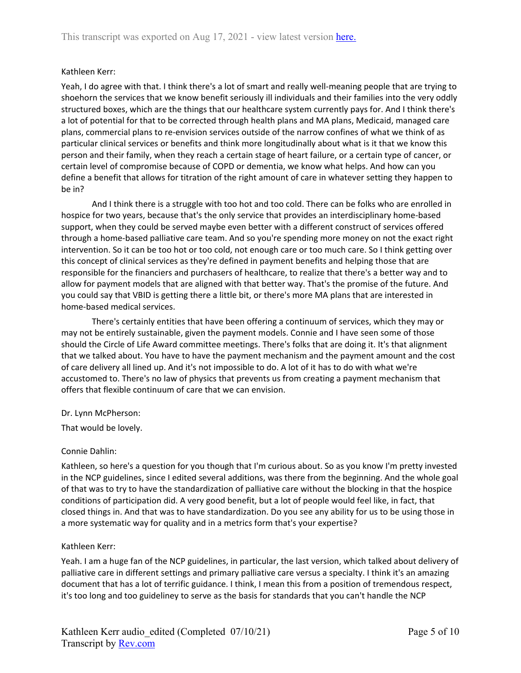## Kathleen Kerr:

Yeah, I do agree with that. I think there's a lot of smart and really well-meaning people that are trying to shoehorn the services that we know benefit seriously ill individuals and their families into the very oddly structured boxes, which are the things that our healthcare system currently pays for. And I think there's a lot of potential for that to be corrected through health plans and MA plans, Medicaid, managed care plans, commercial plans to re-envision services outside of the narrow confines of what we think of as particular clinical services or benefits and think more longitudinally about what is it that we know this person and their family, when they reach a certain stage of heart failure, or a certain type of cancer, or certain level of compromise because of COPD or dementia, we know what helps. And how can you define a benefit that allows for titration of the right amount of care in whatever setting they happen to be in?

And I think there is a struggle with too hot and too cold. There can be folks who are enrolled in hospice for two years, because that's the only service that provides an interdisciplinary home-based support, when they could be served maybe even better with a different construct of services offered through a home-based palliative care team. And so you're spending more money on not the exact right intervention. So it can be too hot or too cold, not enough care or too much care. So I think getting over this concept of clinical services as they're defined in payment benefits and helping those that are responsible for the financiers and purchasers of healthcare, to realize that there's a better way and to allow for payment models that are aligned with that better way. That's the promise of the future. And you could say that VBID is getting there a little bit, or there's more MA plans that are interested in home-based medical services.

There's certainly entities that have been offering a continuum of services, which they may or may not be entirely sustainable, given the payment models. Connie and I have seen some of those should the Circle of Life Award committee meetings. There's folks that are doing it. It's that alignment that we talked about. You have to have the payment mechanism and the payment amount and the cost of care delivery all lined up. And it's not impossible to do. A lot of it has to do with what we're accustomed to. There's no law of physics that prevents us from creating a payment mechanism that offers that flexible continuum of care that we can envision.

### Dr. Lynn McPherson:

That would be lovely.

### Connie Dahlin:

Kathleen, so here's a question for you though that I'm curious about. So as you know I'm pretty invested in the NCP guidelines, since I edited several additions, was there from the beginning. And the whole goal of that was to try to have the standardization of palliative care without the blocking in that the hospice conditions of participation did. A very good benefit, but a lot of people would feel like, in fact, that closed things in. And that was to have standardization. Do you see any ability for us to be using those in a more systematic way for quality and in a metrics form that's your expertise?

### Kathleen Kerr:

Yeah. I am a huge fan of the NCP guidelines, in particular, the last version, which talked about delivery of palliative care in different settings and primary palliative care versus a specialty. I think it's an amazing document that has a lot of terrific guidance. I think, I mean this from a position of tremendous respect, it's too long and too guideliney to serve as the basis for standards that you can't handle the NCP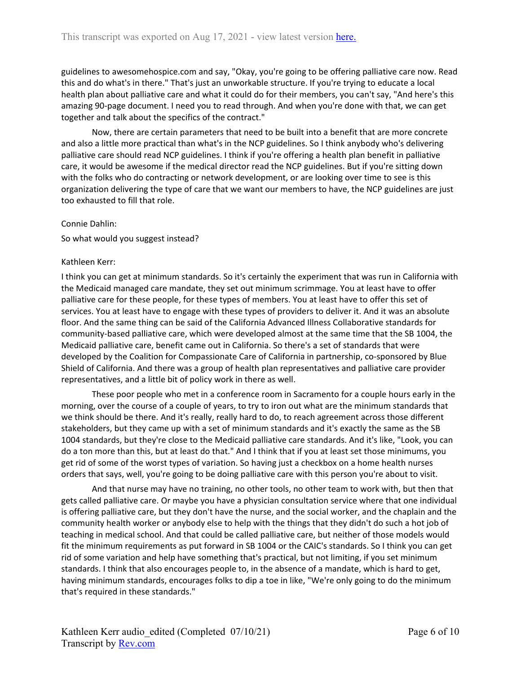guidelines to awesomehospice.com and say, "Okay, you're going to be offering palliative care now. Read this and do what's in there." That's just an unworkable structure. If you're trying to educate a local health plan about palliative care and what it could do for their members, you can't say, "And here's this amazing 90-page document. I need you to read through. And when you're done with that, we can get together and talk about the specifics of the contract."

Now, there are certain parameters that need to be built into a benefit that are more concrete and also a little more practical than what's in the NCP guidelines. So I think anybody who's delivering palliative care should read NCP guidelines. I think if you're offering a health plan benefit in palliative care, it would be awesome if the medical director read the NCP guidelines. But if you're sitting down with the folks who do contracting or network development, or are looking over time to see is this organization delivering the type of care that we want our members to have, the NCP guidelines are just too exhausted to fill that role.

#### Connie Dahlin:

So what would you suggest instead?

#### Kathleen Kerr:

I think you can get at minimum standards. So it's certainly the experiment that was run in California with the Medicaid managed care mandate, they set out minimum scrimmage. You at least have to offer palliative care for these people, for these types of members. You at least have to offer this set of services. You at least have to engage with these types of providers to deliver it. And it was an absolute floor. And the same thing can be said of the California Advanced Illness Collaborative standards for community-based palliative care, which were developed almost at the same time that the SB 1004, the Medicaid palliative care, benefit came out in California. So there's a set of standards that were developed by the Coalition for Compassionate Care of California in partnership, co-sponsored by Blue Shield of California. And there was a group of health plan representatives and palliative care provider representatives, and a little bit of policy work in there as well.

These poor people who met in a conference room in Sacramento for a couple hours early in the morning, over the course of a couple of years, to try to iron out what are the minimum standards that we think should be there. And it's really, really hard to do, to reach agreement across those different stakeholders, but they came up with a set of minimum standards and it's exactly the same as the SB 1004 standards, but they're close to the Medicaid palliative care standards. And it's like, "Look, you can do a ton more than this, but at least do that." And I think that if you at least set those minimums, you get rid of some of the worst types of variation. So having just a checkbox on a home health nurses orders that says, well, you're going to be doing palliative care with this person you're about to visit.

And that nurse may have no training, no other tools, no other team to work with, but then that gets called palliative care. Or maybe you have a physician consultation service where that one individual is offering palliative care, but they don't have the nurse, and the social worker, and the chaplain and the community health worker or anybody else to help with the things that they didn't do such a hot job of teaching in medical school. And that could be called palliative care, but neither of those models would fit the minimum requirements as put forward in SB 1004 or the CAIC's standards. So I think you can get rid of some variation and help have something that's practical, but not limiting, if you set minimum standards. I think that also encourages people to, in the absence of a mandate, which is hard to get, having minimum standards, encourages folks to dip a toe in like, "We're only going to do the minimum that's required in these standards."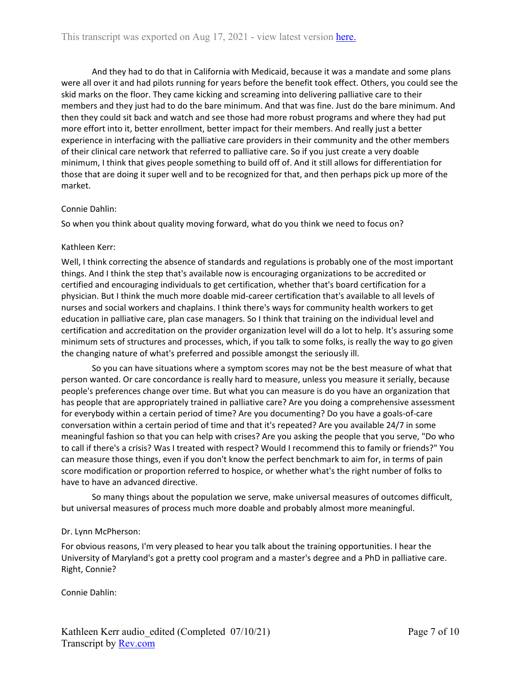And they had to do that in California with Medicaid, because it was a mandate and some plans were all over it and had pilots running for years before the benefit took effect. Others, you could see the skid marks on the floor. They came kicking and screaming into delivering palliative care to their members and they just had to do the bare minimum. And that was fine. Just do the bare minimum. And then they could sit back and watch and see those had more robust programs and where they had put more effort into it, better enrollment, better impact for their members. And really just a better experience in interfacing with the palliative care providers in their community and the other members of their clinical care network that referred to palliative care. So if you just create a very doable minimum, I think that gives people something to build off of. And it still allows for differentiation for those that are doing it super well and to be recognized for that, and then perhaps pick up more of the market.

### Connie Dahlin:

So when you think about quality moving forward, what do you think we need to focus on?

### Kathleen Kerr:

Well, I think correcting the absence of standards and regulations is probably one of the most important things. And I think the step that's available now is encouraging organizations to be accredited or certified and encouraging individuals to get certification, whether that's board certification for a physician. But I think the much more doable mid-career certification that's available to all levels of nurses and social workers and chaplains. I think there's ways for community health workers to get education in palliative care, plan case managers. So I think that training on the individual level and certification and accreditation on the provider organization level will do a lot to help. It's assuring some minimum sets of structures and processes, which, if you talk to some folks, is really the way to go given the changing nature of what's preferred and possible amongst the seriously ill.

So you can have situations where a symptom scores may not be the best measure of what that person wanted. Or care concordance is really hard to measure, unless you measure it serially, because people's preferences change over time. But what you can measure is do you have an organization that has people that are appropriately trained in palliative care? Are you doing a comprehensive assessment for everybody within a certain period of time? Are you documenting? Do you have a goals-of-care conversation within a certain period of time and that it's repeated? Are you available 24/7 in some meaningful fashion so that you can help with crises? Are you asking the people that you serve, "Do who to call if there's a crisis? Was I treated with respect? Would I recommend this to family or friends?" You can measure those things, even if you don't know the perfect benchmark to aim for, in terms of pain score modification or proportion referred to hospice, or whether what's the right number of folks to have to have an advanced directive.

So many things about the population we serve, make universal measures of outcomes difficult, but universal measures of process much more doable and probably almost more meaningful.

### Dr. Lynn McPherson:

For obvious reasons, I'm very pleased to hear you talk about the training opportunities. I hear the University of Maryland's got a pretty cool program and a master's degree and a PhD in palliative care. Right, Connie?

Connie Dahlin: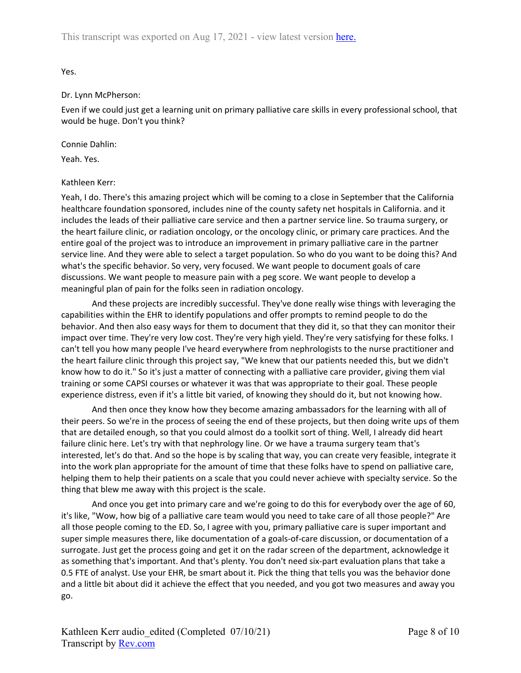Yes.

### Dr. Lynn McPherson:

Even if we could just get a learning unit on primary palliative care skills in every professional school, that would be huge. Don't you think?

### Connie Dahlin:

Yeah. Yes.

## Kathleen Kerr:

Yeah, I do. There's this amazing project which will be coming to a close in September that the California healthcare foundation sponsored, includes nine of the county safety net hospitals in California. and it includes the leads of their palliative care service and then a partner service line. So trauma surgery, or the heart failure clinic, or radiation oncology, or the oncology clinic, or primary care practices. And the entire goal of the project was to introduce an improvement in primary palliative care in the partner service line. And they were able to select a target population. So who do you want to be doing this? And what's the specific behavior. So very, very focused. We want people to document goals of care discussions. We want people to measure pain with a peg score. We want people to develop a meaningful plan of pain for the folks seen in radiation oncology.

And these projects are incredibly successful. They've done really wise things with leveraging the capabilities within the EHR to identify populations and offer prompts to remind people to do the behavior. And then also easy ways for them to document that they did it, so that they can monitor their impact over time. They're very low cost. They're very high yield. They're very satisfying for these folks. I can't tell you how many people I've heard everywhere from nephrologists to the nurse practitioner and the heart failure clinic through this project say, "We knew that our patients needed this, but we didn't know how to do it." So it's just a matter of connecting with a palliative care provider, giving them vial training or some CAPSI courses or whatever it was that was appropriate to their goal. These people experience distress, even if it's a little bit varied, of knowing they should do it, but not knowing how.

And then once they know how they become amazing ambassadors for the learning with all of their peers. So we're in the process of seeing the end of these projects, but then doing write ups of them that are detailed enough, so that you could almost do a toolkit sort of thing. Well, I already did heart failure clinic here. Let's try with that nephrology line. Or we have a trauma surgery team that's interested, let's do that. And so the hope is by scaling that way, you can create very feasible, integrate it into the work plan appropriate for the amount of time that these folks have to spend on palliative care, helping them to help their patients on a scale that you could never achieve with specialty service. So the thing that blew me away with this project is the scale.

And once you get into primary care and we're going to do this for everybody over the age of 60, it's like, "Wow, how big of a palliative care team would you need to take care of all those people?" Are all those people coming to the ED. So, I agree with you, primary palliative care is super important and super simple measures there, like documentation of a goals-of-care discussion, or documentation of a surrogate. Just get the process going and get it on the radar screen of the department, acknowledge it as something that's important. And that's plenty. You don't need six-part evaluation plans that take a 0.5 FTE of analyst. Use your EHR, be smart about it. Pick the thing that tells you was the behavior done and a little bit about did it achieve the effect that you needed, and you got two measures and away you go.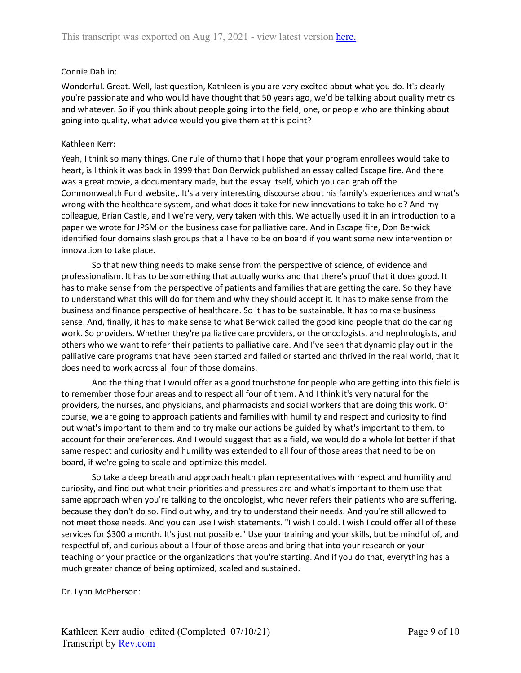## Connie Dahlin:

Wonderful. Great. Well, last question, Kathleen is you are very excited about what you do. It's clearly you're passionate and who would have thought that 50 years ago, we'd be talking about quality metrics and whatever. So if you think about people going into the field, one, or people who are thinking about going into quality, what advice would you give them at this point?

### Kathleen Kerr:

Yeah, I think so many things. One rule of thumb that I hope that your program enrollees would take to heart, is I think it was back in 1999 that Don Berwick published an essay called Escape fire. And there was a great movie, a documentary made, but the essay itself, which you can grab off the Commonwealth Fund website,. It's a very interesting discourse about his family's experiences and what's wrong with the healthcare system, and what does it take for new innovations to take hold? And my colleague, Brian Castle, and I we're very, very taken with this. We actually used it in an introduction to a paper we wrote for JPSM on the business case for palliative care. And in Escape fire, Don Berwick identified four domains slash groups that all have to be on board if you want some new intervention or innovation to take place.

So that new thing needs to make sense from the perspective of science, of evidence and professionalism. It has to be something that actually works and that there's proof that it does good. It has to make sense from the perspective of patients and families that are getting the care. So they have to understand what this will do for them and why they should accept it. It has to make sense from the business and finance perspective of healthcare. So it has to be sustainable. It has to make business sense. And, finally, it has to make sense to what Berwick called the good kind people that do the caring work. So providers. Whether they're palliative care providers, or the oncologists, and nephrologists, and others who we want to refer their patients to palliative care. And I've seen that dynamic play out in the palliative care programs that have been started and failed or started and thrived in the real world, that it does need to work across all four of those domains.

And the thing that I would offer as a good touchstone for people who are getting into this field is to remember those four areas and to respect all four of them. And I think it's very natural for the providers, the nurses, and physicians, and pharmacists and social workers that are doing this work. Of course, we are going to approach patients and families with humility and respect and curiosity to find out what's important to them and to try make our actions be guided by what's important to them, to account for their preferences. And I would suggest that as a field, we would do a whole lot better if that same respect and curiosity and humility was extended to all four of those areas that need to be on board, if we're going to scale and optimize this model.

So take a deep breath and approach health plan representatives with respect and humility and curiosity, and find out what their priorities and pressures are and what's important to them use that same approach when you're talking to the oncologist, who never refers their patients who are suffering, because they don't do so. Find out why, and try to understand their needs. And you're still allowed to not meet those needs. And you can use I wish statements. "I wish I could. I wish I could offer all of these services for \$300 a month. It's just not possible." Use your training and your skills, but be mindful of, and respectful of, and curious about all four of those areas and bring that into your research or your teaching or your practice or the organizations that you're starting. And if you do that, everything has a much greater chance of being optimized, scaled and sustained.

Dr. Lynn McPherson: